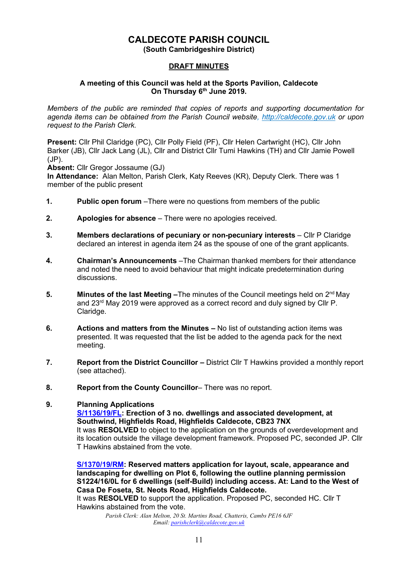# **CALDECOTE PARISH COUNCIL**

**(South Cambridgeshire District)**

#### **DRAFT MINUTES**

#### **A meeting of this Council was held at the Sports Pavilion, Caldecote On Thursday 6 th June 2019.**

*Members of the public are reminded that copies of reports and supporting documentation for agenda items can be obtained from the Parish Council website, [http://caldecote.gov.uk](http://caldecote.gov.uk/) or upon request to the Parish Clerk.*

**Present:** Cllr Phil Claridge (PC), Cllr Polly Field (PF), Cllr Helen Cartwright (HC), Cllr John Barker (JB), Cllr Jack Lang (JL), Cllr and District Cllr Tumi Hawkins (TH) and Cllr Jamie Powell (JP).

**Absent:** Cllr Gregor Jossaume (GJ)

**In Attendance:** Alan Melton, Parish Clerk, Katy Reeves (KR), Deputy Clerk. There was 1 member of the public present

- **1. Public open forum** –There were no questions from members of the public
- **2. Apologies for absence** There were no apologies received.
- **3. Members declarations of pecuniary or non-pecuniary interests** Cllr P Claridge declared an interest in agenda item 24 as the spouse of one of the grant applicants.
- **4. Chairman's Announcements** –The Chairman thanked members for their attendance and noted the need to avoid behaviour that might indicate predetermination during discussions.
- **5. Minutes of the last Meeting –**The minutes of the Council meetings held on 2<sup>nd</sup> May and 23rd May 2019 were approved as a correct record and duly signed by Cllr P. Claridge.
- **6. Actions and matters from the Minutes –** No list of outstanding action items was presented. It was requested that the list be added to the agenda pack for the next meeting.
- **7. Report from the District Councillor –** District Cllr T Hawkins provided a monthly report (see attached).
- **8. Report from the County Councillor** There was no report.

#### **9. Planning Applications**

**[S/1136/19/FL:](http://plan.scambs.gov.uk/swiftlg/apas/run/WPHAPPDETAIL.DisplayUrl?theApnID=S/1136/19/FL&backURL=%253Ca%2520href%253Dwphappcriteria.display%253FpaSearchKey%253D1971137%253ESearch%2520Criteria%253C%252Fa%253E%20%3E%20%3Ca%20href%3D%27wphappsearchres.displayResultsURL%3FResultID%3D2576844%2526StartIndex%3D1%2526SortOrder%3Drgndat%3Adesc%2526DispResultsAs%3DWPHAPPSEARCHRES%2526BackURL%3D%253Ca%2520href%253Dwphappcriteria.display%253FpaSearchKey%253D1971137%253ESearch%2520Criteria%253C%252Fa%253E%27%3ESearch%20Results%3C%2Fa%3E) Erection of 3 no. dwellings and associated development, at Southwind, Highfields Road, Highfields Caldecote, CB23 7NX** It was **RESOLVED** to object to the application on the grounds of overdevelopment and its location outside the village development framework. Proposed PC, seconded JP. Cllr T Hawkins abstained from the vote.

**[S/1370/19/RM:](http://plan.scambs.gov.uk/swiftlg/apas/run/WPHAPPDETAIL.DisplayUrl?theApnID=S/1370/19/RM&backURL=%253Ca%2520href%253Dwphappcriteria.display%253FpaSearchKey%253D1971143%253ESearch%2520Criteria%253C%252Fa%253E%20%3E%20%3Ca%20href%3D%27wphappsearchres.displayResultsURL%3FResultID%3D2576850%2526StartIndex%3D1%2526SortOrder%3Drgndat%3Adesc%2526DispResultsAs%3DWPHAPPSEARCHRES%2526BackURL%3D%253Ca%2520href%253Dwphappcriteria.display%253FpaSearchKey%253D1971143%253ESearch%2520Criteria%253C%252Fa%253E%27%3ESearch%20Results%3C%2Fa%3E) Reserved matters application for layout, scale, appearance and landscaping for dwelling on Plot 6, following the outline planning permission S1224/16/0L for 6 dwellings (self-Build) including access. At: Land to the West of Casa De Foseta, St. Neots Road, Highfields Caldecote.**

It was **RESOLVED** to support the application. Proposed PC, seconded HC. Cllr T Hawkins abstained from the vote.

> *Parish Clerk: Alan Melton, 20 St. Martins Road, Chatteris, Cambs PE16 6JF Email: [parishclerk@caldecote.gov.uk](mailto:parishclerk@caldecote.gov.uk)*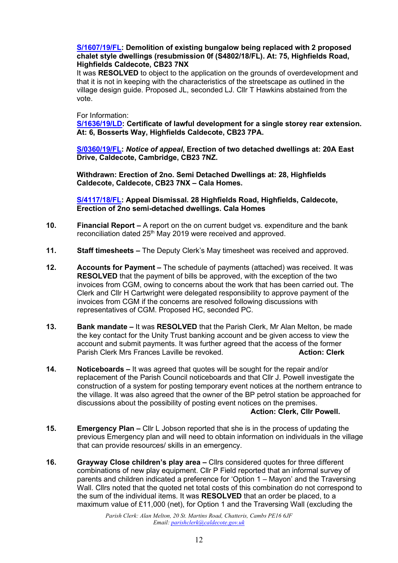#### **[S/1607/19/FL:](http://plan.scambs.gov.uk/swiftlg/apas/run/WPHAPPDETAIL.DisplayUrl?theApnID=S/1607/19/FL&backURL=%253Ca%2520href%253Dwphappcriteria.display%253FpaSearchKey%253D1971149%253ESearch%2520Criteria%253C%252Fa%253E%20%3E%20%3Ca%20href%3D%27wphappsearchres.displayResultsURL%3FResultID%3D2576856%2526StartIndex%3D1%2526SortOrder%3Drgndat%3Adesc%2526DispResultsAs%3DWPHAPPSEARCHRES%2526BackURL%3D%253Ca%2520href%253Dwphappcriteria.display%253FpaSearchKey%253D1971149%253ESearch%2520Criteria%253C%252Fa%253E%27%3ESearch%20Results%3C%2Fa%3E) Demolition of existing bungalow being replaced with 2 proposed chalet style dwellings (resubmission 0f (S4802/18/FL). At: 75, Highfields Road, Highfields Caldecote, CB23 7NX**

It was **RESOLVED** to object to the application on the grounds of overdevelopment and that it is not in keeping with the characteristics of the streetscape as outlined in the village design guide. Proposed JL, seconded LJ. Cllr T Hawkins abstained from the vote.

For Information:

**[S/1636/19/LD:](http://plan.scambs.gov.uk/swiftlg/apas/run/WPHAPPDETAIL.DisplayUrl?theApnID=S/1636/19/LD&backURL=%253Ca%2520href%253Dwphappcriteria.display%253FpaSearchKey%253D1971151%253ESearch%2520Criteria%253C%252Fa%253E%20%3E%20%3Ca%20href%3D%27wphappsearchres.displayResultsURL%3FResultID%3D2576858%2526StartIndex%3D1%2526SortOrder%3Drgndat%3Adesc%2526DispResultsAs%3DWPHAPPSEARCHRES%2526BackURL%3D%253Ca%2520href%253Dwphappcriteria.display%253FpaSearchKey%253D1971151%253ESearch%2520Criteria%253C%252Fa%253E%27%3ESearch%20Results%3C%2Fa%3E) Certificate of lawful development for a single storey rear extension. At: 6, Bosserts Way, Highfields Caldecote, CB23 7PA.**

**[S/0360/19/FL:](http://plan.scambs.gov.uk/swiftlg/apas/run/WPHAPPDETAIL.DisplayUrl?theApnID=S/0360/19/FL&backURL=%253Ca%2520href%253Dwphappcriteria.display%253FpaSearchKey%253D1971154%253ESearch%2520Criteria%253C%252Fa%253E%20%3E%20%3Ca%20href%3D%27wphappsearchres.displayResultsURL%3FResultID%3D2576861%2526StartIndex%3D1%2526SortOrder%3Drgndat%3Adesc%2526DispResultsAs%3DWPHAPPSEARCHRES%2526BackURL%3D%253Ca%2520href%253Dwphappcriteria.display%253FpaSearchKey%253D1971154%253ESearch%2520Criteria%253C%252Fa%253E%27%3ESearch%20Results%3C%2Fa%3E)** *Notice of appeal***, Erection of two detached dwellings at: 20A East Drive, Caldecote, Cambridge, CB23 7NZ.** 

**Withdrawn: Erection of 2no. Semi Detached Dwellings at: 28, Highfields Caldecote, Caldecote, CB23 7NX – Cala Homes.**

**[S/4117/18/FL:](http://plan.scambs.gov.uk/swiftlg/apas/run/WPHAPPDETAIL.DisplayUrl?theApnID=S/4117/18/FL&backURL=%253Ca%2520href%253Dwphappcriteria.display%253FpaSearchKey%253D1971160%253ESearch%2520Criteria%253C%252Fa%253E%20%3E%20%3Ca%20href%3D%27wphappsearchres.displayResultsURL%3FResultID%3D2576867%2526StartIndex%3D1%2526SortOrder%3Drgndat%3Adesc%2526DispResultsAs%3DWPHAPPSEARCHRES%2526BackURL%3D%253Ca%2520href%253Dwphappcriteria.display%253FpaSearchKey%253D1971160%253ESearch%2520Criteria%253C%252Fa%253E%27%3ESearch%20Results%3C%2Fa%3E) Appeal Dismissal. 28 Highfields Road, Highfields, Caldecote, Erection of 2no semi-detached dwellings. Cala Homes**

- **10. Financial Report –** A report on the on current budget vs. expenditure and the bank reconciliation dated 25<sup>th</sup> May 2019 were received and approved.
- **11. Staff timesheets –** The Deputy Clerk's May timesheet was received and approved.
- **12. Accounts for Payment –** The schedule of payments (attached) was received. It was **RESOLVED** that the payment of bills be approved, with the exception of the two invoices from CGM, owing to concerns about the work that has been carried out. The Clerk and Cllr H Cartwright were delegated responsibility to approve payment of the invoices from CGM if the concerns are resolved following discussions with representatives of CGM. Proposed HC, seconded PC.
- **13. Bank mandate –** It was **RESOLVED** that the Parish Clerk, Mr Alan Melton, be made the key contact for the Unity Trust banking account and be given access to view the account and submit payments. It was further agreed that the access of the former Parish Clerk Mrs Frances Laville be revoked. **Action: Clerk Action: Clerk**
- **14. Noticeboards –** It was agreed that quotes will be sought for the repair and/or replacement of the Parish Council noticeboards and that Cllr J. Powell investigate the construction of a system for posting temporary event notices at the northern entrance to the village. It was also agreed that the owner of the BP petrol station be approached for discussions about the possibility of posting event notices on the premises.

#### **Action: Clerk, Cllr Powell.**

- **15. Emergency Plan –** Cllr L Jobson reported that she is in the process of updating the previous Emergency plan and will need to obtain information on individuals in the village that can provide resources/ skills in an emergency.
- **16. Grayway Close children's play area –** Cllrs considered quotes for three different combinations of new play equipment. Cllr P Field reported that an informal survey of parents and children indicated a preference for 'Option 1 – Mayon' and the Traversing Wall. Cllrs noted that the quoted net total costs of this combination do not correspond to the sum of the individual items. It was **RESOLVED** that an order be placed, to a maximum value of £11,000 (net), for Option 1 and the Traversing Wall (excluding the

*Parish Clerk: Alan Melton, 20 St. Martins Road, Chatteris, Cambs PE16 6JF Email: [parishclerk@caldecote.gov.uk](mailto:parishclerk@caldecote.gov.uk)*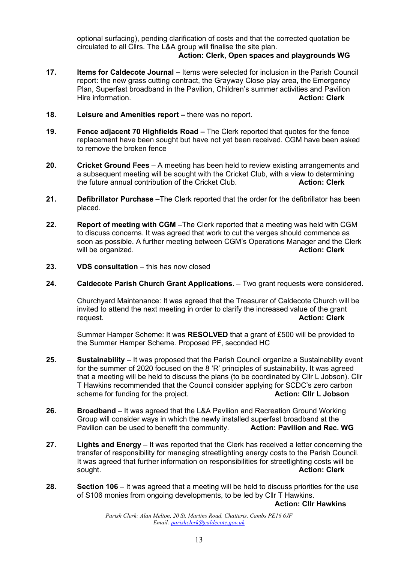optional surfacing), pending clarification of costs and that the corrected quotation be circulated to all Cllrs. The L&A group will finalise the site plan.

### **Action: Clerk, Open spaces and playgrounds WG**

- **17. Items for Caldecote Journal –** Items were selected for inclusion in the Parish Council report: the new grass cutting contract, the Grayway Close play area, the Emergency Plan, Superfast broadband in the Pavilion, Children's summer activities and Pavilion Hire information. **Action: Clerk**
- **18. Leisure and Amenities report –** there was no report.
- **19. Fence adjacent 70 Highfields Road –** The Clerk reported that quotes for the fence replacement have been sought but have not yet been received. CGM have been asked to remove the broken fence
- **20. Cricket Ground Fees**  A meeting has been held to review existing arrangements and a subsequent meeting will be sought with the Cricket Club, with a view to determining the future annual contribution of the Cricket Club. **Action: Clerk**
- **21. Defibrillator Purchase** –The Clerk reported that the order for the defibrillator has been placed.
- **22. Report of meeting with CGM** –The Clerk reported that a meeting was held with CGM to discuss concerns. It was agreed that work to cut the verges should commence as soon as possible. A further meeting between CGM's Operations Manager and the Clerk will be organized. **Action: Clerk**
- **23. VDS consultation** this has now closed
- **24. Caldecote Parish Church Grant Applications**. Two grant requests were considered.

Churchyard Maintenance: It was agreed that the Treasurer of Caldecote Church will be invited to attend the next meeting in order to clarify the increased value of the grant request. **Action: Clerk**

Summer Hamper Scheme: It was **RESOLVED** that a grant of £500 will be provided to the Summer Hamper Scheme. Proposed PF, seconded HC

- **25. Sustainability** It was proposed that the Parish Council organize a Sustainability event for the summer of 2020 focused on the 8 'R' principles of sustainability. It was agreed that a meeting will be held to discuss the plans (to be coordinated by Cllr L Jobson). Cllr T Hawkins recommended that the Council consider applying for SCDC's zero carbon scheme for funding for the project. **Action: Cllr L Jobson**
- **26. Broadband** It was agreed that the L&A Pavilion and Recreation Ground Working Group will consider ways in which the newly installed superfast broadband at the<br>Pavilion can be used to benefit the community. **Action: Pavilion and Rec. WG** Pavilion can be used to benefit the community.
- **27. Lights and Energy** It was reported that the Clerk has received a letter concerning the transfer of responsibility for managing streetlighting energy costs to the Parish Council. It was agreed that further information on responsibilities for streetlighting costs will be sought. **Action: Clerk**
- **28. Section 106** It was agreed that a meeting will be held to discuss priorities for the use of S106 monies from ongoing developments, to be led by Cllr T Hawkins.

**Action: Cllr Hawkins**

*Parish Clerk: Alan Melton, 20 St. Martins Road, Chatteris, Cambs PE16 6JF Email: [parishclerk@caldecote.gov.uk](mailto:parishclerk@caldecote.gov.uk)*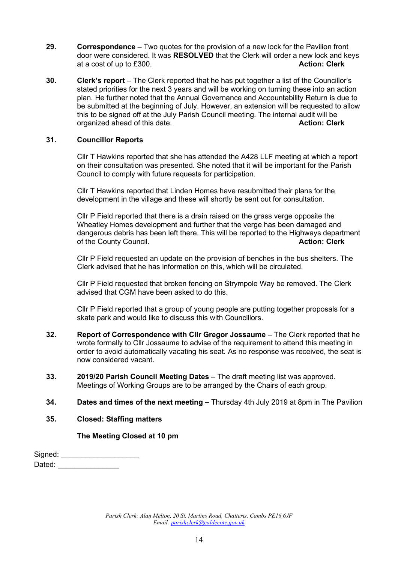- **29. Correspondence** Two quotes for the provision of a new lock for the Pavilion front door were considered. It was **RESOLVED** that the Clerk will order a new lock and keys at a cost of up to £300. **Action: Clerk**
- **30. Clerk's report** The Clerk reported that he has put together a list of the Councillor's stated priorities for the next 3 years and will be working on turning these into an action plan. He further noted that the Annual Governance and Accountability Return is due to be submitted at the beginning of July. However, an extension will be requested to allow this to be signed off at the July Parish Council meeting. The internal audit will be organized ahead of this date. **Action: Clerk**

#### **31. Councillor Reports**

Cllr T Hawkins reported that she has attended the A428 LLF meeting at which a report on their consultation was presented. She noted that it will be important for the Parish Council to comply with future requests for participation.

Cllr T Hawkins reported that Linden Homes have resubmitted their plans for the development in the village and these will shortly be sent out for consultation.

Cllr P Field reported that there is a drain raised on the grass verge opposite the Wheatley Homes development and further that the verge has been damaged and dangerous debris has been left there. This will be reported to the Highways department of the County Council. **Action: Clerk**

Cllr P Field requested an update on the provision of benches in the bus shelters. The Clerk advised that he has information on this, which will be circulated.

Cllr P Field requested that broken fencing on Strympole Way be removed. The Clerk advised that CGM have been asked to do this.

Cllr P Field reported that a group of young people are putting together proposals for a skate park and would like to discuss this with Councillors.

- **32. Report of Correspondence with Cllr Gregor Jossaume** The Clerk reported that he wrote formally to Cllr Jossaume to advise of the requirement to attend this meeting in order to avoid automatically vacating his seat. As no response was received, the seat is now considered vacant.
- **33. 2019/20 Parish Council Meeting Dates** The draft meeting list was approved. Meetings of Working Groups are to be arranged by the Chairs of each group.
- **34. Dates and times of the next meeting –** Thursday 4th July 2019 at 8pm in The Pavilion
- **35. Closed: Staffing matters**

**The Meeting Closed at 10 pm**

Signed: \_\_\_\_\_\_\_\_\_\_\_\_\_\_\_\_ Dated:  $\Box$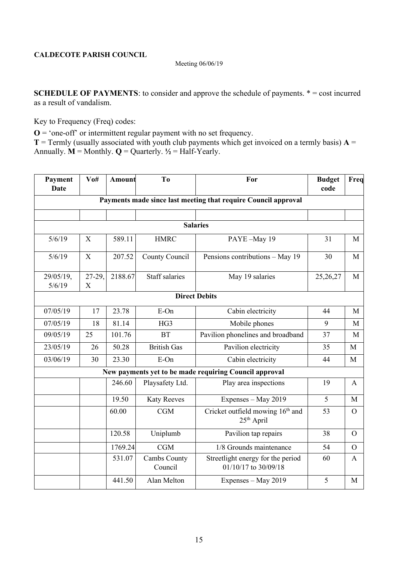#### Meeting 06/06/19

**SCHEDULE OF PAYMENTS**: to consider and approve the schedule of payments.  $* = \text{cost incurred}$ as a result of vandalism.

Key to Frequency (Freq) codes:

 $O = \text{`one-off`}$  or intermittent regular payment with no set frequency.

**T** = Termly (usually associated with youth club payments which get invoiced on a termly basis)  $A =$ Annually.  $\mathbf{M} = \text{Monthly}$ .  $\mathbf{Q} = \text{Quarterly}$ .  $\frac{1}{2} = \text{Half-Yearly}$ .

| Payment<br><b>Date</b> | $V$ 0#      | <b>Amount</b> | T <sub>0</sub>          | For                                                            | <b>Budget</b><br>code | Freq           |
|------------------------|-------------|---------------|-------------------------|----------------------------------------------------------------|-----------------------|----------------|
|                        |             |               |                         | Payments made since last meeting that require Council approval |                       |                |
|                        |             |               |                         |                                                                |                       |                |
|                        |             |               |                         | <b>Salaries</b>                                                |                       |                |
| 5/6/19                 | X           | 589.11        | <b>HMRC</b>             | PAYE-May 19                                                    | 31                    | M              |
| 5/6/19                 | $\mathbf X$ | 207.52        | County Council          | Pensions contributions - May 19                                | 30                    | M              |
| 29/05/19,<br>5/6/19    | 27-29,<br>X | 2188.67       | <b>Staff</b> salaries   | May 19 salaries                                                | 25,26,27              | M              |
|                        |             |               |                         | <b>Direct Debits</b>                                           |                       |                |
| 07/05/19               | 17          | 23.78         | E-On                    | Cabin electricity                                              | 44                    | M              |
| 07/05/19               | 18          | 81.14         | HG3                     | Mobile phones                                                  | 9                     | M              |
| 09/05/19               | 25          | 101.76        | <b>BT</b>               | Pavilion phonelines and broadband                              | 37                    | M              |
| 23/05/19               | 26          | 50.28         | <b>British Gas</b>      | Pavilion electricity                                           | 35                    | M              |
| 03/06/19               | 30          | 23.30         | E-On                    | Cabin electricity                                              | 44                    | M              |
|                        |             |               |                         | New payments yet to be made requiring Council approval         |                       |                |
|                        |             | 246.60        | Playsafety Ltd.         | Play area inspections                                          | 19                    | A              |
|                        |             | 19.50         | <b>Katy Reeves</b>      | Expenses - May 2019                                            | 5                     | M              |
|                        |             | 60.00         | CGM                     | Cricket outfield mowing 16 <sup>th</sup> and<br>$25th$ April   | 53                    | $\Omega$       |
|                        |             | 120.58        | Uniplumb                | Pavilion tap repairs                                           | 38                    | $\Omega$       |
|                        |             | 1769.24       | CGM                     | 1/8 Grounds maintenance                                        | 54                    | $\overline{O}$ |
|                        |             | 531.07        | Cambs County<br>Council | Streetlight energy for the period<br>01/10/17 to 30/09/18      | 60                    | A              |
|                        |             | 441.50        | Alan Melton             | Expenses - May 2019                                            | 5                     | M              |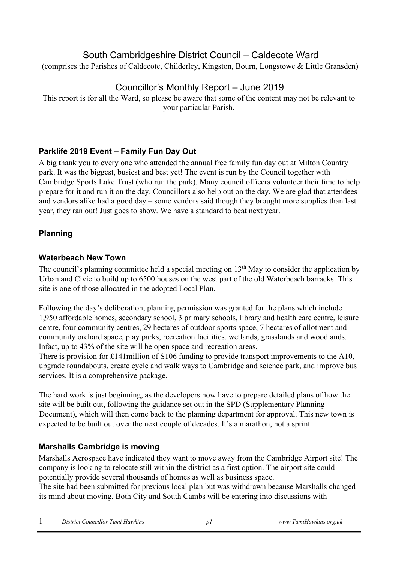# South Cambridgeshire District Council – Caldecote Ward

(comprises the Parishes of Caldecote, Childerley, Kingston, Bourn, Longstowe & Little Gransden)

# Councillor's Monthly Report – June 2019

This report is for all the Ward, so please be aware that some of the content may not be relevant to your particular Parish.

## **Parklife 2019 Event – Family Fun Day Out**

A big thank you to every one who attended the annual free family fun day out at Milton Country park. It was the biggest, busiest and best yet! The event is run by the Council together with Cambridge Sports Lake Trust (who run the park). Many council officers volunteer their time to help prepare for it and run it on the day. Councillors also help out on the day. We are glad that attendees and vendors alike had a good day – some vendors said though they brought more supplies than last year, they ran out! Just goes to show. We have a standard to beat next year.

# **Planning**

## **Waterbeach New Town**

The council's planning committee held a special meeting on 13<sup>th</sup> May to consider the application by Urban and Civic to build up to 6500 houses on the west part of the old Waterbeach barracks. This site is one of those allocated in the adopted Local Plan.

Following the day's deliberation, planning permission was granted for the plans which include 1,950 affordable homes, secondary school, 3 primary schools, library and health care centre, leisure centre, four community centres, 29 hectares of outdoor sports space, 7 hectares of allotment and community orchard space, play parks, recreation facilities, wetlands, grasslands and woodlands. Infact, up to 43% of the site will be open space and recreation areas.

There is provision for £141million of S106 funding to provide transport improvements to the A10, upgrade roundabouts, create cycle and walk ways to Cambridge and science park, and improve bus services. It is a comprehensive package.

The hard work is just beginning, as the developers now have to prepare detailed plans of how the site will be built out, following the guidance set out in the SPD (Supplementary Planning Document), which will then come back to the planning department for approval. This new town is expected to be built out over the next couple of decades. It's a marathon, not a sprint.

## **Marshalls Cambridge is moving**

Marshalls Aerospace have indicated they want to move away from the Cambridge Airport site! The company is looking to relocate still within the district as a first option. The airport site could potentially provide several thousands of homes as well as business space.

The site had been submitted for previous local plan but was withdrawn because Marshalls changed its mind about moving. Both City and South Cambs will be entering into discussions with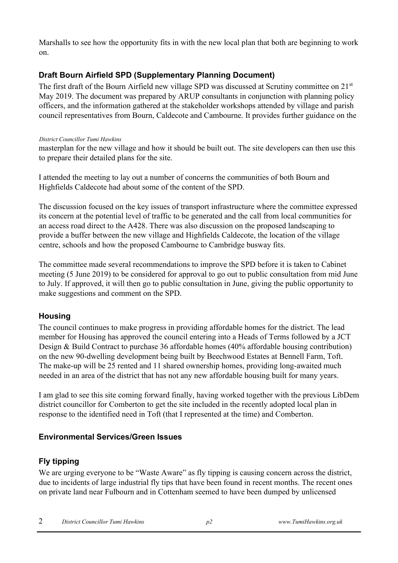Marshalls to see how the opportunity fits in with the new local plan that both are beginning to work on.

## **Draft Bourn Airfield SPD (Supplementary Planning Document)**

The first draft of the Bourn Airfield new village SPD was discussed at Scrutiny committee on 21<sup>st</sup> May 2019. The document was prepared by ARUP consultants in conjunction with planning policy officers, and the information gathered at the stakeholder workshops attended by village and parish council representatives from Bourn, Caldecote and Cambourne. It provides further guidance on the

#### *District Councillor Tumi Hawkins*

masterplan for the new village and how it should be built out. The site developers can then use this to prepare their detailed plans for the site.

I attended the meeting to lay out a number of concerns the communities of both Bourn and Highfields Caldecote had about some of the content of the SPD.

The discussion focused on the key issues of transport infrastructure where the committee expressed its concern at the potential level of traffic to be generated and the call from local communities for an access road direct to the A428. There was also discussion on the proposed landscaping to provide a buffer between the new village and Highfields Caldecote, the location of the village centre, schools and how the proposed Cambourne to Cambridge busway fits.

The committee made several recommendations to improve the SPD before it is taken to Cabinet meeting (5 June 2019) to be considered for approval to go out to public consultation from mid June to July. If approved, it will then go to public consultation in June, giving the public opportunity to make suggestions and comment on the SPD.

### **Housing**

The council continues to make progress in providing affordable homes for the district. The lead member for Housing has approved the council entering into a Heads of Terms followed by a JCT Design & Build Contract to purchase 36 affordable homes (40% affordable housing contribution) on the new 90-dwelling development being built by Beechwood Estates at Bennell Farm, Toft. The make-up will be 25 rented and 11 shared ownership homes, providing long-awaited much needed in an area of the district that has not any new affordable housing built for many years.

I am glad to see this site coming forward finally, having worked together with the previous LibDem district councillor for Comberton to get the site included in the recently adopted local plan in response to the identified need in Toft (that I represented at the time) and Comberton.

## **Environmental Services/Green Issues**

## **Fly tipping**

We are urging everyone to be "Waste Aware" as fly tipping is causing concern across the district, due to incidents of large industrial fly tips that have been found in recent months. The recent ones on private land near Fulbourn and in Cottenham seemed to have been dumped by unlicensed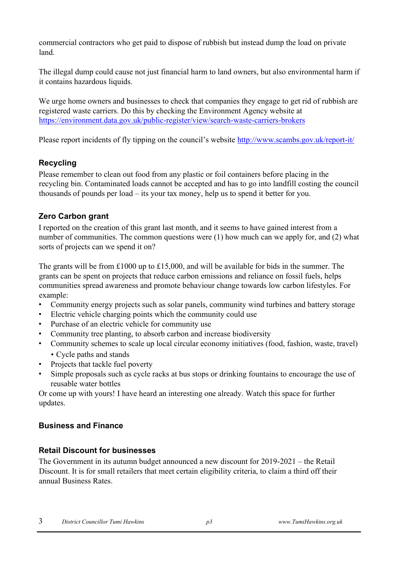commercial contractors who get paid to dispose of rubbish but instead dump the load on private land.

The illegal dump could cause not just financial harm to land owners, but also environmental harm if it contains hazardous liquids.

We urge home owners and businesses to check that companies they engage to get rid of rubbish are registered waste carriers. Do this by checking the Environment Agency website at <https://environment.data.gov.uk/public-register/view/search-waste-carriers-brokers>

Please report incidents of fly tipping on the council's website <http://www.scambs.gov.uk/report-it/>

## **Recycling**

Please remember to clean out food from any plastic or foil containers before placing in the recycling bin. Contaminated loads cannot be accepted and has to go into landfill costing the council thousands of pounds per load – its your tax money, help us to spend it better for you.

## **Zero Carbon grant**

I reported on the creation of this grant last month, and it seems to have gained interest from a number of communities. The common questions were (1) how much can we apply for, and (2) what sorts of projects can we spend it on?

The grants will be from £1000 up to £15,000, and will be available for bids in the summer. The grants can be spent on projects that reduce carbon emissions and reliance on fossil fuels, helps communities spread awareness and promote behaviour change towards low carbon lifestyles. For example:

- Community energy projects such as solar panels, community wind turbines and battery storage
- Electric vehicle charging points which the community could use
- Purchase of an electric vehicle for community use
- Community tree planting, to absorb carbon and increase biodiversity
- Community schemes to scale up local circular economy initiatives (food, fashion, waste, travel) • Cycle paths and stands
- Projects that tackle fuel poverty
- Simple proposals such as cycle racks at bus stops or drinking fountains to encourage the use of reusable water bottles

Or come up with yours! I have heard an interesting one already. Watch this space for further updates.

### **Business and Finance**

### **Retail Discount for businesses**

The Government in its autumn budget announced a new discount for 2019-2021 – the Retail Discount. It is for small retailers that meet certain eligibility criteria, to claim a third off their annual Business Rates.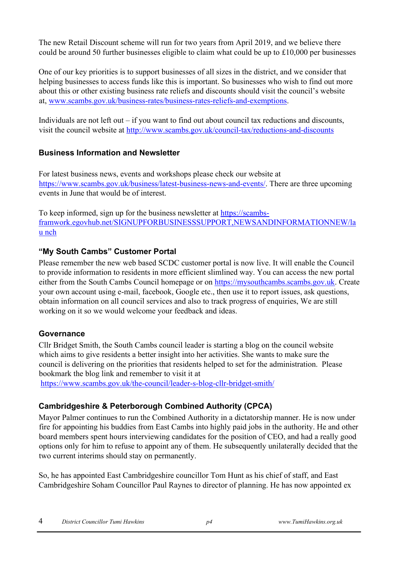The new Retail Discount scheme will run for two years from April 2019, and we believe there could be around 50 further businesses eligible to claim what could be up to £10,000 per businesses

One of our key priorities is to support businesses of all sizes in the district, and we consider that helping businesses to access funds like this is important. So businesses who wish to find out more about this or other existing business rate reliefs and discounts should visit the council's website at, [www.scambs.gov.uk/business-rates/business-rates-reliefs-and-exemptions.](http://www.scambs.gov.uk/business-rates/business-rates-reliefs-and-exemptions) 

Individuals are not left out  $-$  if you want to find out about council tax reductions and discounts, visit the council website at <http://www.scambs.gov.uk/council-tax/reductions-and-discounts>

## **Business Information and Newsletter**

For latest business news, events and workshops please check our website at [https://www.scambs.gov.uk/business/latest-business-news-and-events/.](https://www.scambs.gov.uk/business/latest-business-news-and-events/) There are three upcoming events in June that would be of interest.

To keep informed, sign up for the business newsletter at [https://scambs](https://scambs-framwork.egovhub.net/SIGNUPFORBUSINESSSUPPORT,NEWSANDINFORMATIONNEW/launch)[framwork.egovhub.net/SIGNUPFORBUSINESSSUPPORT,NEWSANDINFORMATIONNEW/la](https://scambs-framwork.egovhub.net/SIGNUPFORBUSINESSSUPPORT,NEWSANDINFORMATIONNEW/launch) [u nch](https://scambs-framwork.egovhub.net/SIGNUPFORBUSINESSSUPPORT,NEWSANDINFORMATIONNEW/launch)

## **"My South Cambs" Customer Portal**

Please remember the new web based SCDC customer portal is now live. It will enable the Council to provide information to residents in more efficient slimlined way. You can access the new portal either from the South Cambs Council homepage or on [https://mysouthcambs.scambs.gov.uk.](https://mysouthcambs.scambs.gov.uk/) Create your own account using e-mail, facebook, Google etc., then use it to report issues, ask questions, obtain information on all council services and also to track progress of enquiries, We are still working on it so we would welcome your feedback and ideas.

### **Governance**

Cllr Bridget Smith, the South Cambs council leader is starting a blog on the council website which aims to give residents a better insight into her activities. She wants to make sure the council is delivering on the priorities that residents helped to set for the administration. Please bookmark the blog link and remember to visit it at

<https://www.scambs.gov.uk/the-council/leader-s-blog-cllr-bridget-smith/>

## **Cambridgeshire & Peterborough Combined Authority (CPCA)**

Mayor Palmer continues to run the Combined Authority in a dictatorship manner. He is now under fire for appointing his buddies from East Cambs into highly paid jobs in the authority. He and other board members spent hours interviewing candidates for the position of CEO, and had a really good options only for him to refuse to appoint any of them. He subsequently unilaterally decided that the two current interims should stay on permanently.

So, he has appointed East Cambridgeshire councillor Tom Hunt as his chief of staff, and East Cambridgeshire Soham Councillor Paul Raynes to director of planning. He has now appointed ex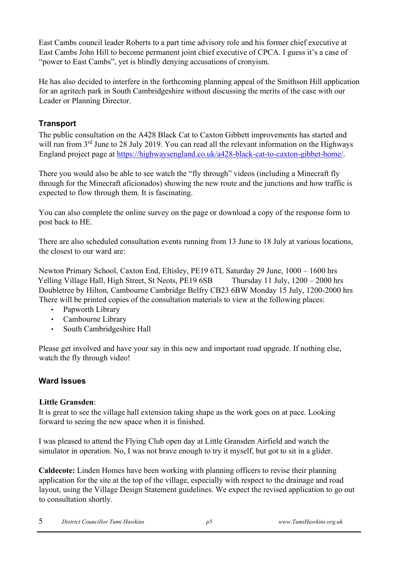East Cambs council leader Roberts to a part time advisory role and his former chief executive at East Cambs John Hill to become permanent joint chief executive of CPCA. I guess it's a case of "power to East Cambs", yet is blindly denying accusations of cronyism.

He has also decided to interfere in the forthcoming planning appeal of the Smithson Hill application for an agritech park in South Cambridgeshire without discussing the merits of the case with our Leader or Planning Director.

# **Transport**

The public consultation on the A428 Black Cat to Caxton Gibbett improvements has started and will run from 3<sup>rd</sup> June to 28 July 2019. You can read all the relevant information on the Highways England project page at [https://highwaysengland.co.uk/a428-black-cat-to-caxton-gibbet-home/.](https://highwaysengland.co.uk/a428-black-cat-to-caxton-gibbet-home/)

There you would also be able to see watch the "fly through" videos (including a Minecraft fly through for the Minecraft aficionados) showing the new route and the junctions and how traffic is expected to flow through them. It is fascinating.

You can also complete the online survey on the page or download a copy of the response form to post back to HE.

There are also scheduled consultation events running from 13 June to 18 July at various locations, the closest to our ward are:

Newton Primary School, Caxton End, Eltisley, PE19 6TL Saturday 29 June, 1000 – 1600 hrs Yelling Village Hall, High Street, St Neots, PE19 6SB Thursday 11 July, 1200 – 2000 hrs Doubletree by Hilton, Cambourne Cambridge Belfry CB23 6BW Monday 15 July, 1200-2000 hrs There will be printed copies of the consultation materials to view at the following places:

- Papworth Library
- Cambourne Library
- South Cambridgeshire Hall

Please get involved and have your say in this new and important road upgrade. If nothing else, watch the fly through video!

## **Ward Issues**

### **Little Gransden**:

It is great to see the village hall extension taking shape as the work goes on at pace. Looking forward to seeing the new space when it is finished.

I was pleased to attend the Flying Club open day at Little Gransden Airfield and watch the simulator in operation. No, I was not brave enough to try it myself, but got to sit in a glider.

**Caldecote:** Linden Homes have been working with planning officers to revise their planning application for the site at the top of the village, especially with respect to the drainage and road layout, using the Village Design Statement guidelines. We expect the revised application to go out to consultation shortly.